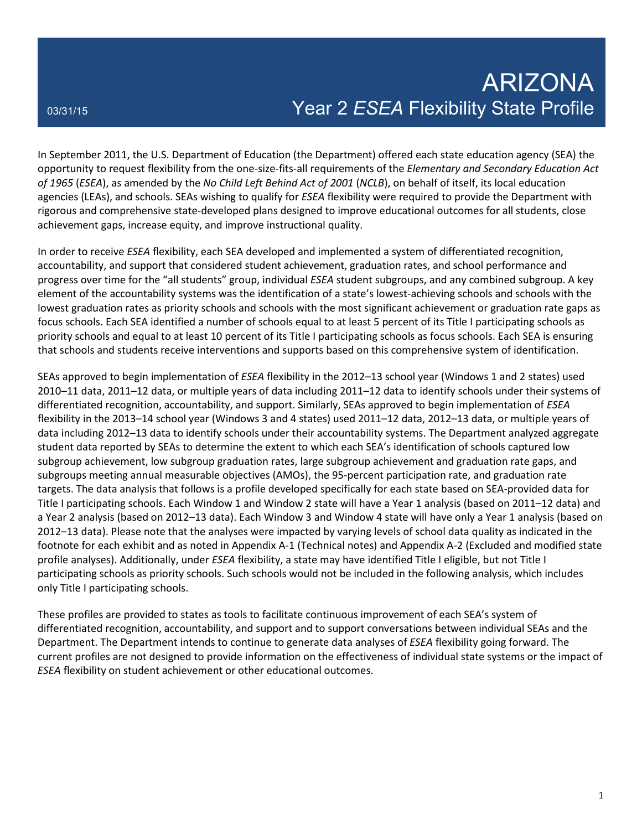In September 2011, the U.S. Department of Education (the Department) offered each state education agency (SEA) the opportunity to request flexibility from the one-size-fits-all requirements of the *Elementary and Secondary Education Act of 1965* (*ESEA*), as amended by the *No Child Left Behind Act of 2001* (*NCLB*), on behalf of itself, its local education agencies (LEAs), and schools. SEAs wishing to qualify for *ESEA* flexibility were required to provide the Department with rigorous and comprehensive state-developed plans designed to improve educational outcomes for all students, close achievement gaps, increase equity, and improve instructional quality.

In order to receive *ESEA* flexibility, each SEA developed and implemented a system of differentiated recognition, accountability, and support that considered student achievement, graduation rates, and school performance and progress over time for the "all students" group, individual *ESEA* student subgroups, and any combined subgroup. A key element of the accountability systems was the identification of a state's lowest-achieving schools and schools with the lowest graduation rates as priority schools and schools with the most significant achievement or graduation rate gaps as focus schools. Each SEA identified a number of schools equal to at least 5 percent of its Title I participating schools as priority schools and equal to at least 10 percent of its Title I participating schools as focus schools. Each SEA is ensuring that schools and students receive interventions and supports based on this comprehensive system of identification.

SEAs approved to begin implementation of *ESEA* flexibility in the 2012–13 school year (Windows 1 and 2 states) used 2010–11 data, 2011–12 data, or multiple years of data including 2011–12 data to identify schools under their systems of differentiated recognition, accountability, and support. Similarly, SEAs approved to begin implementation of *ESEA* flexibility in the 2013–14 school year (Windows 3 and 4 states) used 2011–12 data, 2012–13 data, or multiple years of data including 2012–13 data to identify schools under their accountability systems. The Department analyzed aggregate student data reported by SEAs to determine the extent to which each SEA's identification of schools captured low subgroup achievement, low subgroup graduation rates, large subgroup achievement and graduation rate gaps, and subgroups meeting annual measurable objectives (AMOs), the 95-percent participation rate, and graduation rate targets. The data analysis that follows is a profile developed specifically for each state based on SEA-provided data for Title I participating schools. Each Window 1 and Window 2 state will have a Year 1 analysis (based on 2011–12 data) and a Year 2 analysis (based on 2012–13 data). Each Window 3 and Window 4 state will have only a Year 1 analysis (based on 2012–13 data). Please note that the analyses were impacted by varying levels of school data quality as indicated in the footnote for each exhibit and as noted in Appendix A-1 (Technical notes) and Appendix A-2 (Excluded and modified state profile analyses). Additionally, under *ESEA* flexibility, a state may have identified Title I eligible, but not Title I participating schools as priority schools. Such schools would not be included in the following analysis, which includes only Title I participating schools.

These profiles are provided to states as tools to facilitate continuous improvement of each SEA's system of differentiated recognition, accountability, and support and to support conversations between individual SEAs and the Department. The Department intends to continue to generate data analyses of *ESEA* flexibility going forward. The current profiles are not designed to provide information on the effectiveness of individual state systems or the impact of *ESEA* flexibility on student achievement or other educational outcomes.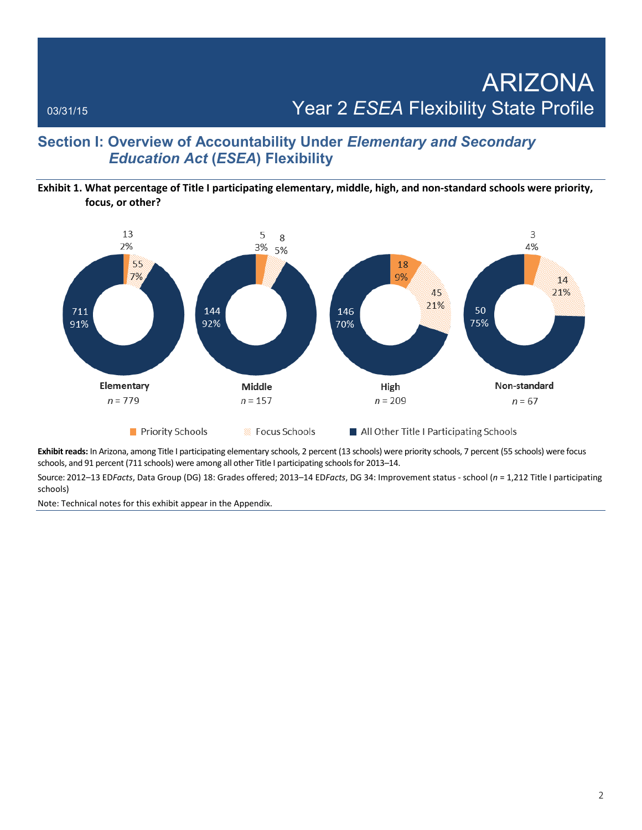### **Section I: Overview of Accountability Under** *Elementary and Secondary Education Act* **(***ESEA***) Flexibility**

### **Exhibit 1. What percentage of Title I participating elementary, middle, high, and non-standard schools were priority, focus, or other?**



**Exhibit reads:** In Arizona, among Title I participating elementary schools, 2 percent (13 schools) were priority schools, 7 percent (55 schools) were focus schools, and 91 percent (711 schools) were among all other Title I participating schools for 2013–14.

Source: 2012–13 ED*Facts*, Data Group (DG) 18: Grades offered; 2013–14 ED*Facts*, DG 34: Improvement status - school (*n* = 1,212 Title I participating schools)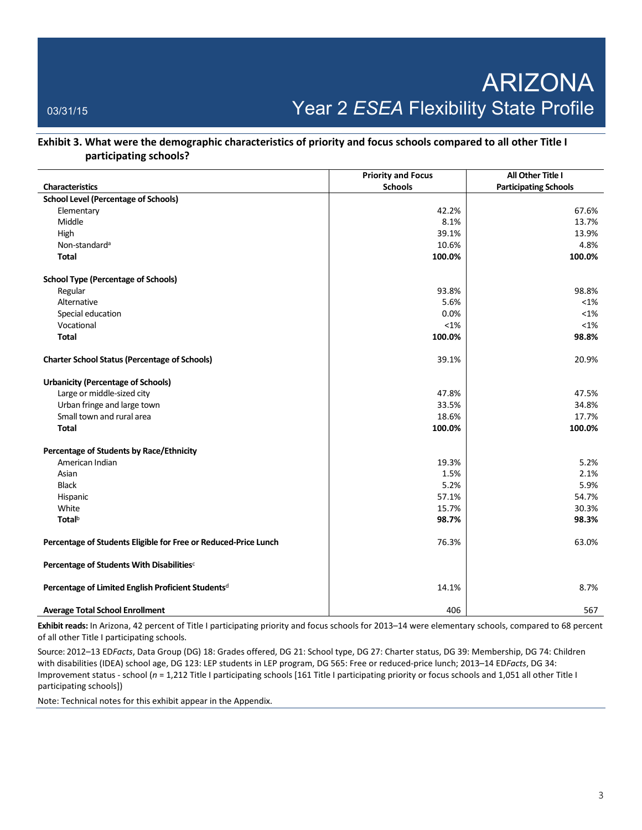### **Exhibit 3. What were the demographic characteristics of priority and focus schools compared to all other Title I participating schools?**

|                                                                 | <b>Priority and Focus</b> | All Other Title I            |
|-----------------------------------------------------------------|---------------------------|------------------------------|
| <b>Characteristics</b>                                          | <b>Schools</b>            | <b>Participating Schools</b> |
| <b>School Level (Percentage of Schools)</b>                     |                           |                              |
| Elementary                                                      | 42.2%                     | 67.6%                        |
| Middle                                                          | 8.1%                      | 13.7%                        |
| High                                                            | 39.1%                     | 13.9%                        |
| Non-standard <sup>a</sup>                                       | 10.6%                     | 4.8%                         |
| <b>Total</b>                                                    | 100.0%                    | 100.0%                       |
| <b>School Type (Percentage of Schools)</b>                      |                           |                              |
| Regular                                                         | 93.8%                     | 98.8%                        |
| Alternative                                                     | 5.6%                      | $< 1\%$                      |
| Special education                                               | 0.0%                      | $< 1\%$                      |
| Vocational                                                      | $< 1\%$                   | $< 1\%$                      |
| <b>Total</b>                                                    | 100.0%                    | 98.8%                        |
| <b>Charter School Status (Percentage of Schools)</b>            | 39.1%                     | 20.9%                        |
| <b>Urbanicity (Percentage of Schools)</b>                       |                           |                              |
| Large or middle-sized city                                      | 47.8%                     | 47.5%                        |
| Urban fringe and large town                                     | 33.5%                     | 34.8%                        |
| Small town and rural area                                       | 18.6%                     | 17.7%                        |
| <b>Total</b>                                                    | 100.0%                    | 100.0%                       |
| Percentage of Students by Race/Ethnicity                        |                           |                              |
| American Indian                                                 | 19.3%                     | 5.2%                         |
| Asian                                                           | 1.5%                      | 2.1%                         |
| <b>Black</b>                                                    | 5.2%                      | 5.9%                         |
| Hispanic                                                        | 57.1%                     | 54.7%                        |
| White                                                           | 15.7%                     | 30.3%                        |
| <b>Total</b> <sup>b</sup>                                       | 98.7%                     | 98.3%                        |
| Percentage of Students Eligible for Free or Reduced-Price Lunch | 76.3%                     | 63.0%                        |
| Percentage of Students With Disabilities <sup>c</sup>           |                           |                              |
| Percentage of Limited English Proficient Students <sup>d</sup>  | 14.1%                     | 8.7%                         |
| <b>Average Total School Enrollment</b>                          | 406                       | 567                          |

**Exhibit reads:** In Arizona, 42 percent of Title I participating priority and focus schools for 2013–14 were elementary schools, compared to 68 percent of all other Title I participating schools.

Source: 2012–13 ED*Facts*, Data Group (DG) 18: Grades offered, DG 21: School type, DG 27: Charter status, DG 39: Membership, DG 74: Children with disabilities (IDEA) school age, DG 123: LEP students in LEP program, DG 565: Free or reduced-price lunch; 2013–14 ED*Facts*, DG 34: Improvement status - school (*n* = 1,212 Title I participating schools [161 Title I participating priority or focus schools and 1,051 all other Title I participating schools])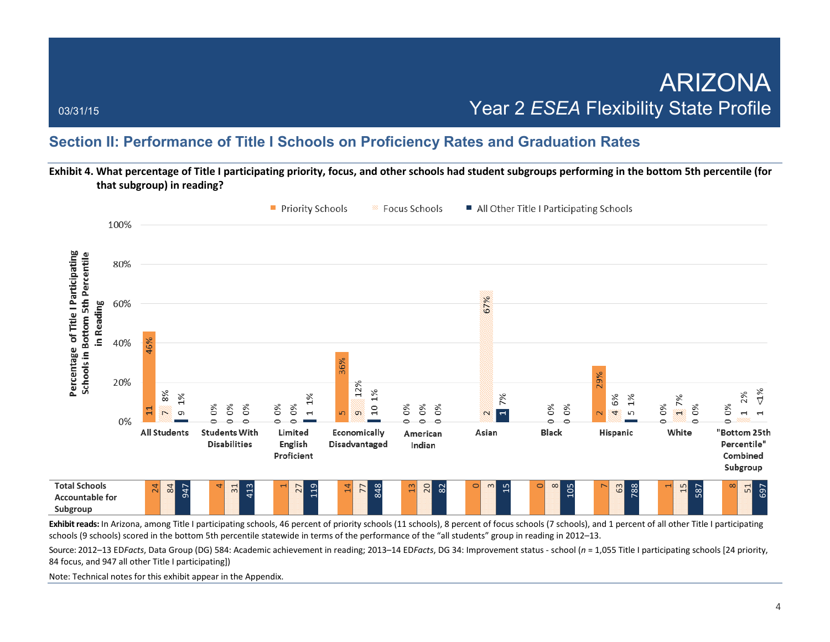### **Section II: Performance of Title I Schools on Proficiency Rates and Graduation Rates**

**Exhibit 4. What percentage of Title I participating priority, focus, and other schools had student subgroups performing in the bottom 5th percentile (for that subgroup) in reading?**



Exhibit reads: In Arizona, among Title I participating schools, 46 percent of priority schools (11 schools), 8 percent of focus schools (7 schools), and 1 percent of all other Title I participating schools (9 schools) scored in the bottom 5th percentile statewide in terms of the performance of the "all students" group in reading in 2012–13.

Source: 2012–13 ED*Facts*, Data Group (DG) 584: Academic achievement in reading; 2013–14 ED*Facts*, DG 34: Improvement status - school (*n* = 1,055 Title I participating schools [24 priority, 84 focus, and 947 all other Title I participating])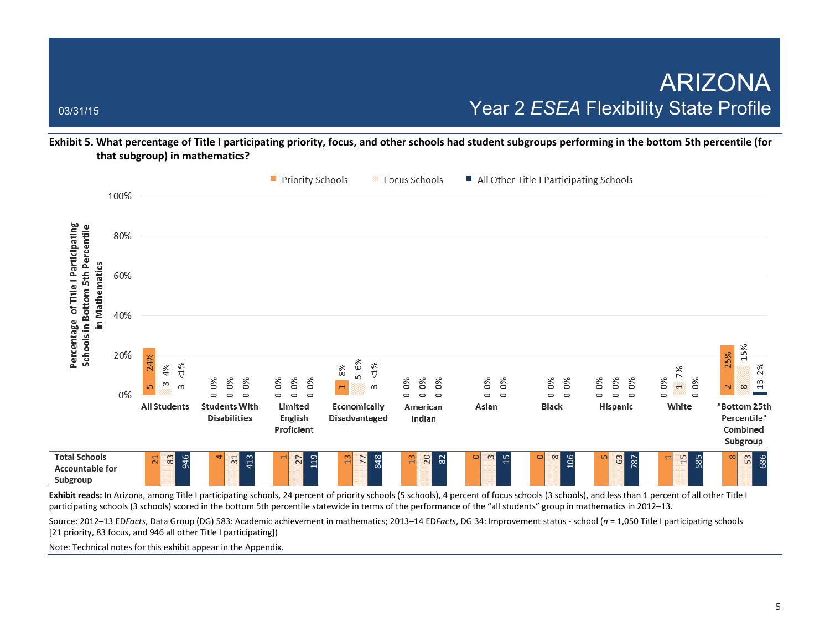**Exhibit 5. What percentage of Title I participating priority, focus, and other schools had student subgroups performing in the bottom 5th percentile (for that subgroup) in mathematics?**



Exhibit reads: In Arizona, among Title I participating schools, 24 percent of priority schools (5 schools), 4 percent of focus schools (3 schools), and less than 1 percent of all other Title I participating schools (3 schools) scored in the bottom 5th percentile statewide in terms of the performance of the "all students" group in mathematics in 2012–13.

Source: 2012–13 ED*Facts*, Data Group (DG) 583: Academic achievement in mathematics; 2013–14 ED*Facts*, DG 34: Improvement status - school (*n* = 1,050 Title I participating schools [21 priority, 83 focus, and 946 all other Title I participating])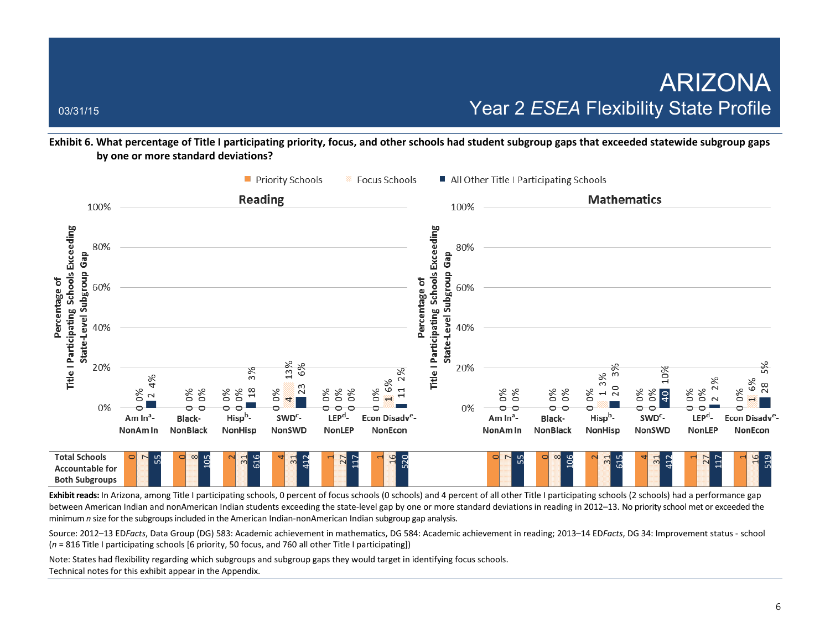**Exhibit 6. What percentage of Title I participating priority, focus, and other schools had student subgroup gaps that exceeded statewide subgroup gaps by one or more standard deviations?** 



Exhibit reads: In Arizona, among Title I participating schools, 0 percent of focus schools (0 schools) and 4 percent of all other Title I participating schools (2 schools) had a performance gap between American Indian and nonAmerican Indian students exceeding the state-level gap by one or more standard deviations in reading in 2012–13. No priority school met or exceeded the minimum *n* size for the subgroups included in the American Indian-nonAmerican Indian subgroup gap analysis.

Source: 2012–13 ED*Facts*, Data Group (DG) 583: Academic achievement in mathematics, DG 584: Academic achievement in reading; 2013–14 ED*Facts*, DG 34: Improvement status - school (*n* = 816 Title I participating schools [6 priority, 50 focus, and 760 all other Title I participating])

Note: States had flexibility regarding which subgroups and subgroup gaps they would target in identifying focus schools. Technical notes for this exhibit appear in the Appendix.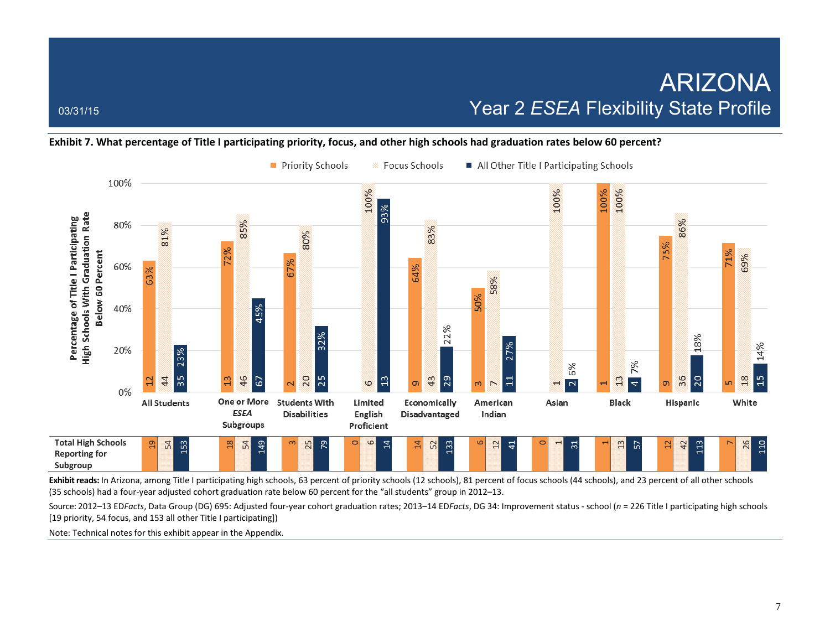### **Exhibit 7. What percentage of Title I participating priority, focus, and other high schools had graduation rates below 60 percent?**



Exhibit reads: In Arizona, among Title I participating high schools, 63 percent of priority schools (12 schools), 81 percent of focus schools (44 schools), and 23 percent of all other schools (35 schools) had a four-year adjusted cohort graduation rate below 60 percent for the "all students" group in 2012–13.

Source: 2012–13 ED*Facts*, Data Group (DG) 695: Adjusted four-year cohort graduation rates; 2013–14 ED*Facts*, DG 34: Improvement status - school (*n* = 226 Title I participating high schools [19 priority, 54 focus, and 153 all other Title I participating])

Note: Technical notes for this exhibit appear in the Appendix.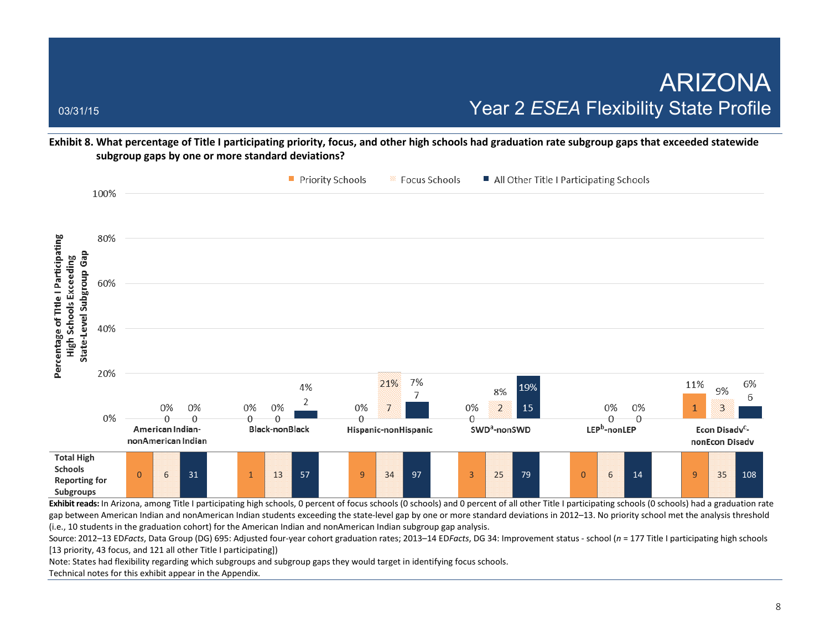**Exhibit 8. What percentage of Title I participating priority, focus, and other high schools had graduation rate subgroup gaps that exceeded statewide subgroup gaps by one or more standard deviations?** 



gap between American Indian and nonAmerican Indian students exceeding the state-level gap by one or more standard deviations in 2012-13. No priority school met the analysis threshold (i.e., 10 students in the graduation cohort) for the American Indian and nonAmerican Indian subgroup gap analysis.

Source: 2012–13 ED*Facts*, Data Group (DG) 695: Adjusted four-year cohort graduation rates; 2013–14 ED*Facts*, DG 34: Improvement status - school (*n* = 177 Title I participating high schools [13 priority, 43 focus, and 121 all other Title I participating])

Note: States had flexibility regarding which subgroups and subgroup gaps they would target in identifying focus schools.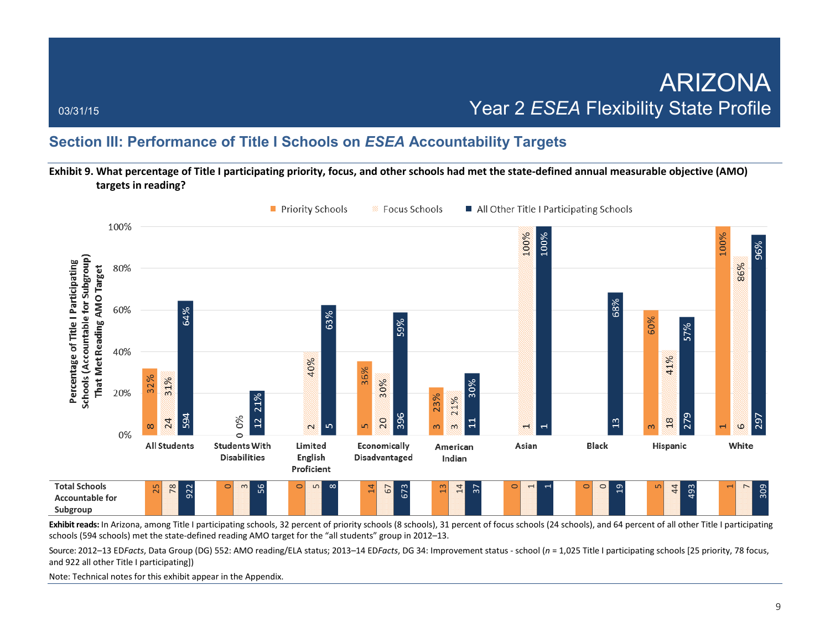### **Section III: Performance of Title I Schools on** *ESEA* **Accountability Targets**

**Exhibit 9. What percentage of Title I participating priority, focus, and other schools had met the state-defined annual measurable objective (AMO) targets in reading?** 



**Exhibit reads:** In Arizona, among Title I participating schools, 32 percent of priority schools (8 schools), 31 percent of focus schools (24 schools), and 64 percent of all other Title I participating schools (594 schools) met the state-defined reading AMO target for the "all students" group in 2012–13.

Source: 2012–13 ED*Facts*, Data Group (DG) 552: AMO reading/ELA status; 2013–14 ED*Facts*, DG 34: Improvement status - school (*n* = 1,025 Title I participating schools [25 priority, 78 focus, and 922 all other Title I participating])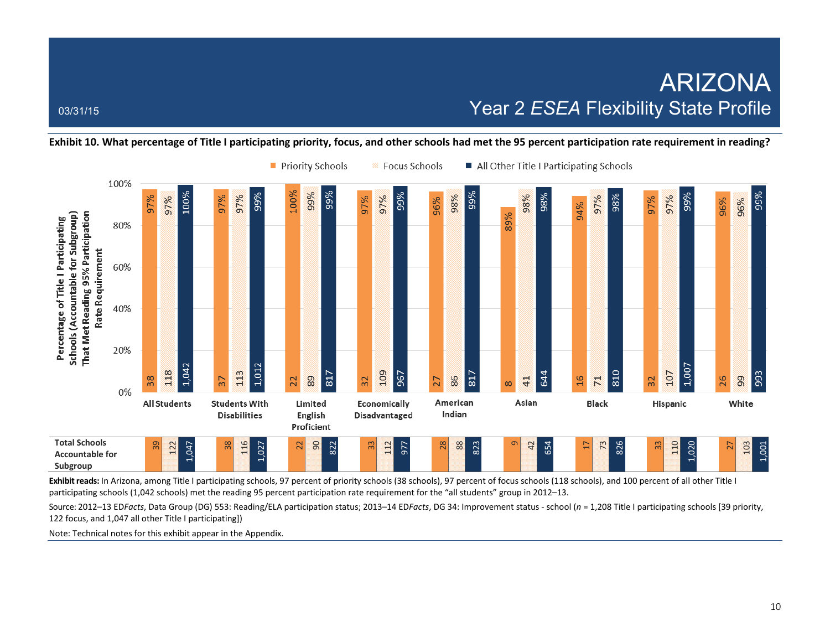**Exhibit 10. What percentage of Title I participating priority, focus, and other schools had met the 95 percent participation rate requirement in reading?** 



**Exhibit reads:** In Arizona, among Title I participating schools, 97 percent of priority schools (38 schools), 97 percent of focus schools (118 schools), and 100 percent of all other Title I participating schools (1,042 schools) met the reading 95 percent participation rate requirement for the "all students" group in 2012–13.

Source: 2012–13 ED*Facts*, Data Group (DG) 553: Reading/ELA participation status; 2013–14 ED*Facts*, DG 34: Improvement status - school (*n* = 1,208 Title I participating schools [39 priority, 122 focus, and 1,047 all other Title I participating])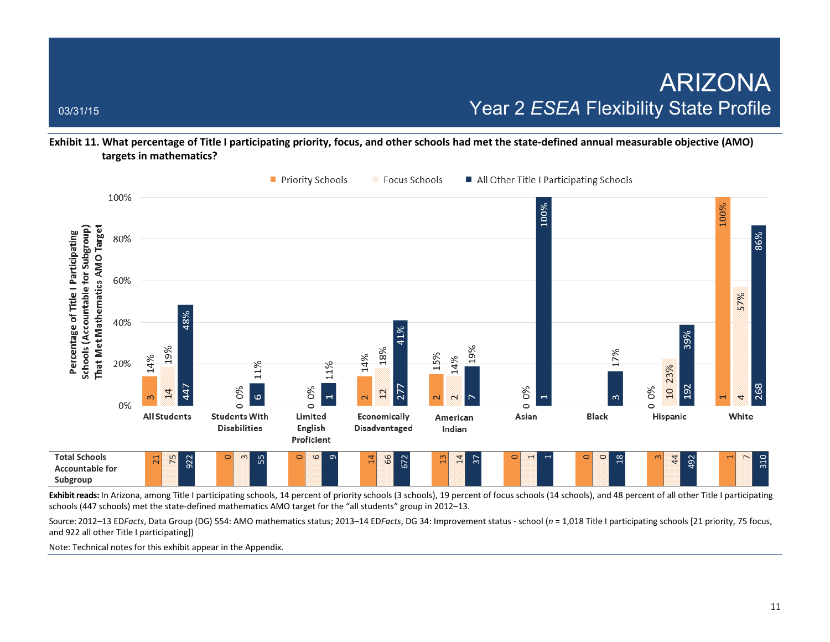**Exhibit 11. What percentage of Title I participating priority, focus, and other schools had met the state-defined annual measurable objective (AMO) targets in mathematics?** 



Exhibit reads: In Arizona, among Title I participating schools, 14 percent of priority schools (3 schools), 19 percent of focus schools (14 schools), and 48 percent of all other Title I participating schools (447 schools) met the state-defined mathematics AMO target for the "all students" group in 2012–13.

Source: 2012–13 ED*Facts*, Data Group (DG) 554: AMO mathematics status; 2013–14 ED*Facts*, DG 34: Improvement status - school (*n* = 1,018 Title I participating schools [21 priority, 75 focus, and 922 all other Title I participating])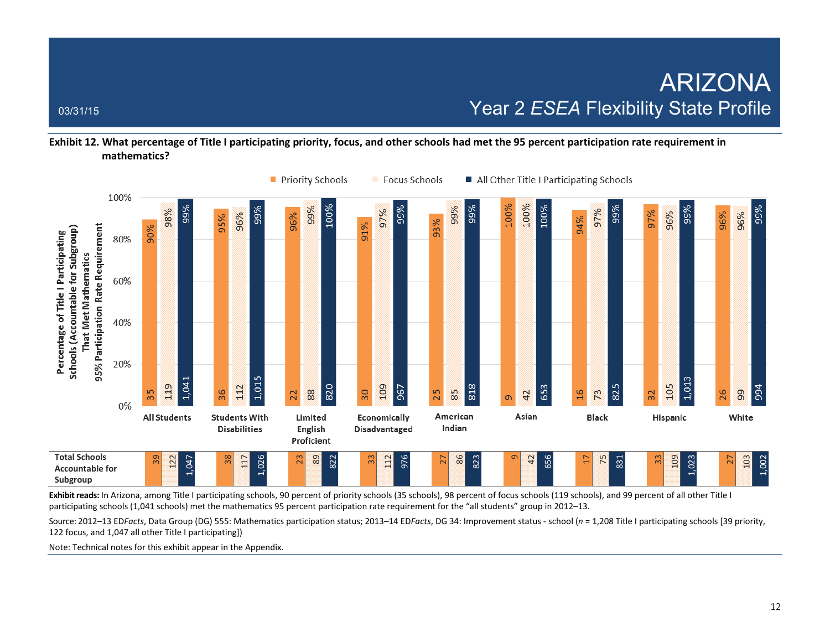### **Exhibit 12. What percentage of Title I participating priority, focus, and other schools had met the 95 percent participation rate requirement in mathematics?**



**Exhibit reads:** In Arizona, among Title I participating schools, 90 percent of priority schools (35 schools), 98 percent of focus schools (119 schools), and 99 percent of all other Title I participating schools (1,041 schools) met the mathematics 95 percent participation rate requirement for the "all students" group in 2012–13.

Source: 2012–13 ED*Facts*, Data Group (DG) 555: Mathematics participation status; 2013–14 ED*Facts*, DG 34: Improvement status - school (*n* = 1,208 Title I participating schools [39 priority, 122 focus, and 1,047 all other Title I participating])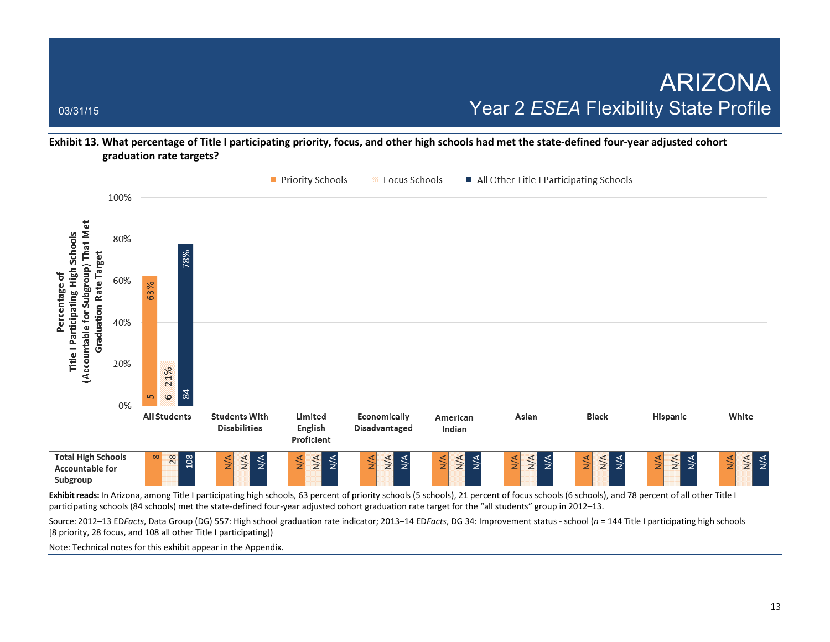**Exhibit 13. What percentage of Title I participating priority, focus, and other high schools had met the state-defined four-year adjusted cohort graduation rate targets?** 



Exhibit reads: In Arizona, among Title I participating high schools, 63 percent of priority schools (5 schools), 21 percent of focus schools (6 schools), and 78 percent of all other Title I participating schools (84 schools) met the state-defined four-year adjusted cohort graduation rate target for the "all students" group in 2012–13.

Source: 2012–13 ED*Facts*, Data Group (DG) 557: High school graduation rate indicator; 2013–14 ED*Facts*, DG 34: Improvement status - school (*n* = 144 Title I participating high schools [8 priority, 28 focus, and 108 all other Title I participating])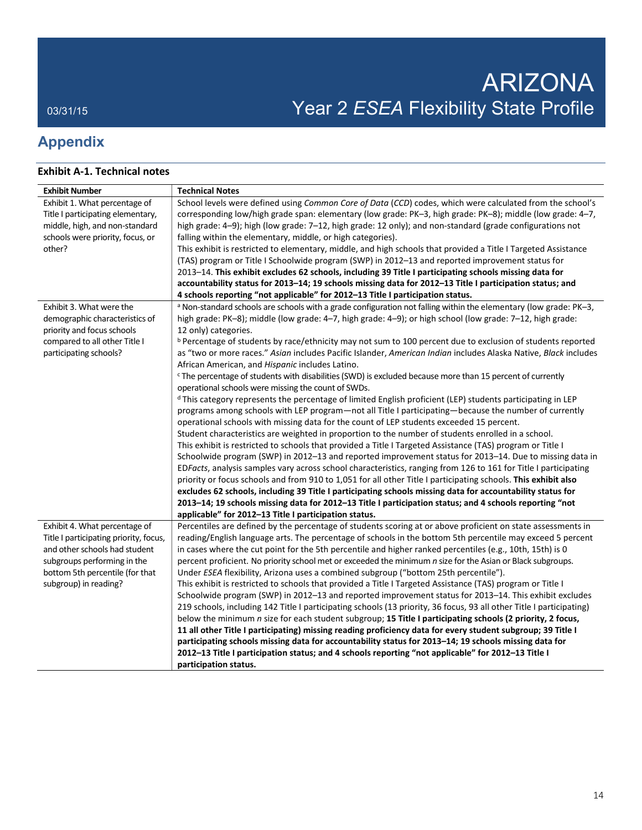## **Appendix**

### **Exhibit A-1. Technical notes**

| <b>Exhibit Number</b>                  | <b>Technical Notes</b>                                                                                                       |
|----------------------------------------|------------------------------------------------------------------------------------------------------------------------------|
| Exhibit 1. What percentage of          | School levels were defined using Common Core of Data (CCD) codes, which were calculated from the school's                    |
| Title I participating elementary,      | corresponding low/high grade span: elementary (low grade: PK-3, high grade: PK-8); middle (low grade: 4-7,                   |
| middle, high, and non-standard         | high grade: 4-9); high (low grade: 7-12, high grade: 12 only); and non-standard (grade configurations not                    |
| schools were priority, focus, or       | falling within the elementary, middle, or high categories).                                                                  |
| other?                                 | This exhibit is restricted to elementary, middle, and high schools that provided a Title I Targeted Assistance               |
|                                        | (TAS) program or Title I Schoolwide program (SWP) in 2012-13 and reported improvement status for                             |
|                                        | 2013–14. This exhibit excludes 62 schools, including 39 Title I participating schools missing data for                       |
|                                        | accountability status for 2013-14; 19 schools missing data for 2012-13 Title I participation status; and                     |
|                                        | 4 schools reporting "not applicable" for 2012–13 Title I participation status.                                               |
| Exhibit 3. What were the               | <sup>a</sup> Non-standard schools are schools with a grade configuration not falling within the elementary (low grade: PK-3, |
| demographic characteristics of         | high grade: PK-8); middle (low grade: 4-7, high grade: 4-9); or high school (low grade: 7-12, high grade:                    |
| priority and focus schools             | 12 only) categories.                                                                                                         |
| compared to all other Title I          | <sup>b</sup> Percentage of students by race/ethnicity may not sum to 100 percent due to exclusion of students reported       |
| participating schools?                 | as "two or more races." Asian includes Pacific Islander, American Indian includes Alaska Native, Black includes              |
|                                        | African American, and Hispanic includes Latino.                                                                              |
|                                        | <sup>c</sup> The percentage of students with disabilities (SWD) is excluded because more than 15 percent of currently        |
|                                        | operational schools were missing the count of SWDs.                                                                          |
|                                        | <sup>d</sup> This category represents the percentage of limited English proficient (LEP) students participating in LEP       |
|                                        | programs among schools with LEP program—not all Title I participating—because the number of currently                        |
|                                        | operational schools with missing data for the count of LEP students exceeded 15 percent.                                     |
|                                        | Student characteristics are weighted in proportion to the number of students enrolled in a school.                           |
|                                        | This exhibit is restricted to schools that provided a Title I Targeted Assistance (TAS) program or Title I                   |
|                                        | Schoolwide program (SWP) in 2012-13 and reported improvement status for 2013-14. Due to missing data in                      |
|                                        | EDFacts, analysis samples vary across school characteristics, ranging from 126 to 161 for Title I participating              |
|                                        | priority or focus schools and from 910 to 1,051 for all other Title I participating schools. This exhibit also               |
|                                        | excludes 62 schools, including 39 Title I participating schools missing data for accountability status for                   |
|                                        | 2013-14; 19 schools missing data for 2012-13 Title I participation status; and 4 schools reporting "not                      |
|                                        | applicable" for 2012-13 Title I participation status.                                                                        |
| Exhibit 4. What percentage of          | Percentiles are defined by the percentage of students scoring at or above proficient on state assessments in                 |
| Title I participating priority, focus, | reading/English language arts. The percentage of schools in the bottom 5th percentile may exceed 5 percent                   |
| and other schools had student          | in cases where the cut point for the 5th percentile and higher ranked percentiles (e.g., 10th, 15th) is 0                    |
| subgroups performing in the            | percent proficient. No priority school met or exceeded the minimum n size for the Asian or Black subgroups.                  |
| bottom 5th percentile (for that        | Under ESEA flexibility, Arizona uses a combined subgroup ("bottom 25th percentile").                                         |
| subgroup) in reading?                  | This exhibit is restricted to schools that provided a Title I Targeted Assistance (TAS) program or Title I                   |
|                                        | Schoolwide program (SWP) in 2012-13 and reported improvement status for 2013-14. This exhibit excludes                       |
|                                        | 219 schools, including 142 Title I participating schools (13 priority, 36 focus, 93 all other Title I participating)         |
|                                        | below the minimum n size for each student subgroup; 15 Title I participating schools (2 priority, 2 focus,                   |
|                                        | 11 all other Title I participating) missing reading proficiency data for every student subgroup; 39 Title I                  |
|                                        | participating schools missing data for accountability status for 2013-14; 19 schools missing data for                        |
|                                        | 2012-13 Title I participation status; and 4 schools reporting "not applicable" for 2012-13 Title I                           |
|                                        | participation status.                                                                                                        |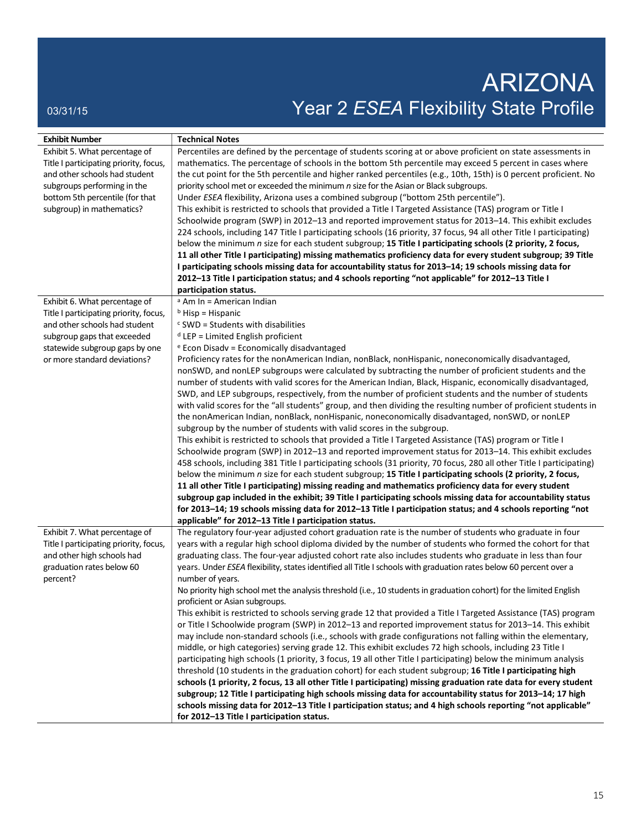# ARIZONA 03/31/15 03/31/15 ON DEVIDENCE PROFILE PROFILE PROFILE

| <b>Exhibit Number</b>                  | <b>Technical Notes</b>                                                                                                |
|----------------------------------------|-----------------------------------------------------------------------------------------------------------------------|
| Exhibit 5. What percentage of          | Percentiles are defined by the percentage of students scoring at or above proficient on state assessments in          |
| Title I participating priority, focus, | mathematics. The percentage of schools in the bottom 5th percentile may exceed 5 percent in cases where               |
| and other schools had student          | the cut point for the 5th percentile and higher ranked percentiles (e.g., 10th, 15th) is 0 percent proficient. No     |
| subgroups performing in the            | priority school met or exceeded the minimum n size for the Asian or Black subgroups.                                  |
| bottom 5th percentile (for that        | Under ESEA flexibility, Arizona uses a combined subgroup ("bottom 25th percentile").                                  |
| subgroup) in mathematics?              | This exhibit is restricted to schools that provided a Title I Targeted Assistance (TAS) program or Title I            |
|                                        | Schoolwide program (SWP) in 2012-13 and reported improvement status for 2013-14. This exhibit excludes                |
|                                        | 224 schools, including 147 Title I participating schools (16 priority, 37 focus, 94 all other Title I participating)  |
|                                        | below the minimum n size for each student subgroup; 15 Title I participating schools (2 priority, 2 focus,            |
|                                        | 11 all other Title I participating) missing mathematics proficiency data for every student subgroup; 39 Title         |
|                                        | I participating schools missing data for accountability status for 2013-14; 19 schools missing data for               |
|                                        | 2012-13 Title I participation status; and 4 schools reporting "not applicable" for 2012-13 Title I                    |
|                                        | participation status.                                                                                                 |
| Exhibit 6. What percentage of          | <sup>a</sup> Am In = American Indian                                                                                  |
| Title I participating priority, focus, | $b$ Hisp = Hispanic                                                                                                   |
| and other schools had student          | $c$ SWD = Students with disabilities                                                                                  |
| subgroup gaps that exceeded            | $d$ LEP = Limited English proficient                                                                                  |
| statewide subgroup gaps by one         | e Econ Disadv = Economically disadvantaged                                                                            |
| or more standard deviations?           | Proficiency rates for the nonAmerican Indian, nonBlack, nonHispanic, noneconomically disadvantaged,                   |
|                                        | nonSWD, and nonLEP subgroups were calculated by subtracting the number of proficient students and the                 |
|                                        | number of students with valid scores for the American Indian, Black, Hispanic, economically disadvantaged,            |
|                                        | SWD, and LEP subgroups, respectively, from the number of proficient students and the number of students               |
|                                        | with valid scores for the "all students" group, and then dividing the resulting number of proficient students in      |
|                                        | the nonAmerican Indian, nonBlack, nonHispanic, noneconomically disadvantaged, nonSWD, or nonLEP                       |
|                                        | subgroup by the number of students with valid scores in the subgroup.                                                 |
|                                        | This exhibit is restricted to schools that provided a Title I Targeted Assistance (TAS) program or Title I            |
|                                        | Schoolwide program (SWP) in 2012-13 and reported improvement status for 2013-14. This exhibit excludes                |
|                                        | 458 schools, including 381 Title I participating schools (31 priority, 70 focus, 280 all other Title I participating) |
|                                        | below the minimum n size for each student subgroup; 15 Title I participating schools (2 priority, 2 focus,            |
|                                        | 11 all other Title I participating) missing reading and mathematics proficiency data for every student                |
|                                        | subgroup gap included in the exhibit; 39 Title I participating schools missing data for accountability status         |
|                                        | for 2013-14; 19 schools missing data for 2012-13 Title I participation status; and 4 schools reporting "not           |
|                                        | applicable" for 2012-13 Title I participation status.                                                                 |
| Exhibit 7. What percentage of          | The regulatory four-year adjusted cohort graduation rate is the number of students who graduate in four               |
| Title I participating priority, focus, | years with a regular high school diploma divided by the number of students who formed the cohort for that             |
| and other high schools had             | graduating class. The four-year adjusted cohort rate also includes students who graduate in less than four            |
| graduation rates below 60              | years. Under ESEA flexibility, states identified all Title I schools with graduation rates below 60 percent over a    |
| percent?                               | number of years.                                                                                                      |
|                                        | No priority high school met the analysis threshold (i.e., 10 students in graduation cohort) for the limited English   |
|                                        | proficient or Asian subgroups.                                                                                        |
|                                        | This exhibit is restricted to schools serving grade 12 that provided a Title I Targeted Assistance (TAS) program      |
|                                        | or Title I Schoolwide program (SWP) in 2012-13 and reported improvement status for 2013-14. This exhibit              |
|                                        | may include non-standard schools (i.e., schools with grade configurations not falling within the elementary,          |
|                                        | middle, or high categories) serving grade 12. This exhibit excludes 72 high schools, including 23 Title I             |
|                                        | participating high schools (1 priority, 3 focus, 19 all other Title I participating) below the minimum analysis       |
|                                        | threshold (10 students in the graduation cohort) for each student subgroup; 16 Title I participating high             |
|                                        | schools (1 priority, 2 focus, 13 all other Title I participating) missing graduation rate data for every student      |
|                                        | subgroup; 12 Title I participating high schools missing data for accountability status for 2013-14; 17 high           |
|                                        | schools missing data for 2012-13 Title I participation status; and 4 high schools reporting "not applicable"          |
|                                        | for 2012-13 Title I participation status.                                                                             |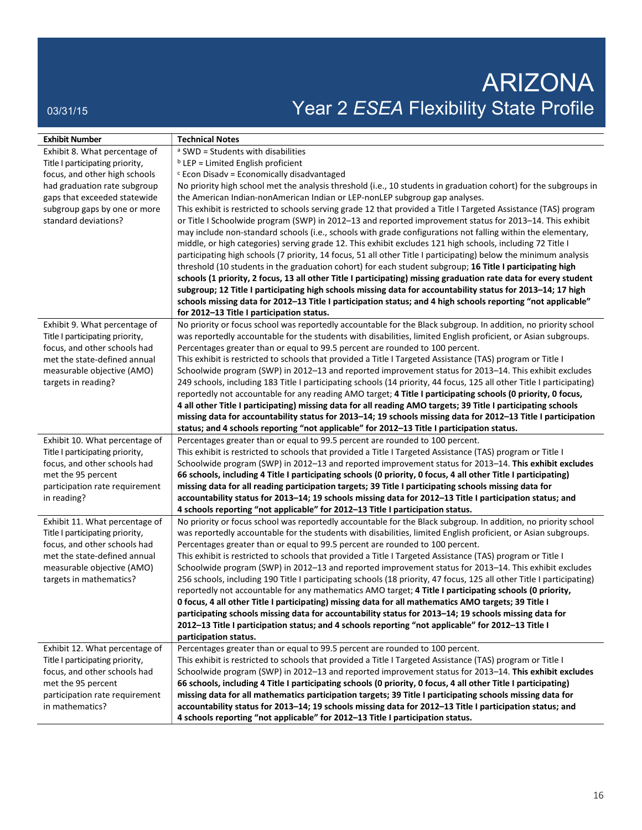# ARIZONA 03/31/15 03/31/15 ON DEVIDENCE PROFILE PROFILE PROFILE

| <b>Exhibit Number</b>                             | <b>Technical Notes</b>                                                                                                                                                                     |
|---------------------------------------------------|--------------------------------------------------------------------------------------------------------------------------------------------------------------------------------------------|
| Exhibit 8. What percentage of                     | <sup>a</sup> SWD = Students with disabilities                                                                                                                                              |
| Title I participating priority,                   | $b$ LEP = Limited English proficient                                                                                                                                                       |
| focus, and other high schools                     | $c$ Econ Disadv = Economically disadvantaged                                                                                                                                               |
| had graduation rate subgroup                      | No priority high school met the analysis threshold (i.e., 10 students in graduation cohort) for the subgroups in                                                                           |
| gaps that exceeded statewide                      | the American Indian-nonAmerican Indian or LEP-nonLEP subgroup gap analyses.                                                                                                                |
| subgroup gaps by one or more                      | This exhibit is restricted to schools serving grade 12 that provided a Title I Targeted Assistance (TAS) program                                                                           |
| standard deviations?                              | or Title I Schoolwide program (SWP) in 2012-13 and reported improvement status for 2013-14. This exhibit                                                                                   |
|                                                   | may include non-standard schools (i.e., schools with grade configurations not falling within the elementary,                                                                               |
|                                                   | middle, or high categories) serving grade 12. This exhibit excludes 121 high schools, including 72 Title I                                                                                 |
|                                                   | participating high schools (7 priority, 14 focus, 51 all other Title I participating) below the minimum analysis                                                                           |
|                                                   | threshold (10 students in the graduation cohort) for each student subgroup; 16 Title I participating high                                                                                  |
|                                                   | schools (1 priority, 2 focus, 13 all other Title I participating) missing graduation rate data for every student                                                                           |
|                                                   | subgroup; 12 Title I participating high schools missing data for accountability status for 2013-14; 17 high                                                                                |
|                                                   | schools missing data for 2012-13 Title I participation status; and 4 high schools reporting "not applicable"                                                                               |
|                                                   | for 2012-13 Title I participation status.                                                                                                                                                  |
| Exhibit 9. What percentage of                     | No priority or focus school was reportedly accountable for the Black subgroup. In addition, no priority school                                                                             |
| Title I participating priority,                   | was reportedly accountable for the students with disabilities, limited English proficient, or Asian subgroups.                                                                             |
| focus, and other schools had                      | Percentages greater than or equal to 99.5 percent are rounded to 100 percent.                                                                                                              |
| met the state-defined annual                      | This exhibit is restricted to schools that provided a Title I Targeted Assistance (TAS) program or Title I                                                                                 |
| measurable objective (AMO)                        | Schoolwide program (SWP) in 2012-13 and reported improvement status for 2013-14. This exhibit excludes                                                                                     |
| targets in reading?                               | 249 schools, including 183 Title I participating schools (14 priority, 44 focus, 125 all other Title I participating)                                                                      |
|                                                   | reportedly not accountable for any reading AMO target; 4 Title I participating schools (0 priority, 0 focus,                                                                               |
|                                                   | 4 all other Title I participating) missing data for all reading AMO targets; 39 Title I participating schools                                                                              |
|                                                   | missing data for accountability status for 2013-14; 19 schools missing data for 2012-13 Title I participation                                                                              |
|                                                   | status; and 4 schools reporting "not applicable" for 2012-13 Title I participation status.                                                                                                 |
| Exhibit 10. What percentage of                    | Percentages greater than or equal to 99.5 percent are rounded to 100 percent.                                                                                                              |
| Title I participating priority,                   | This exhibit is restricted to schools that provided a Title I Targeted Assistance (TAS) program or Title I                                                                                 |
| focus, and other schools had                      | Schoolwide program (SWP) in 2012-13 and reported improvement status for 2013-14. This exhibit excludes                                                                                     |
| met the 95 percent                                | 66 schools, including 4 Title I participating schools (0 priority, 0 focus, 4 all other Title I participating)                                                                             |
| participation rate requirement                    | missing data for all reading participation targets; 39 Title I participating schools missing data for                                                                                      |
| in reading?                                       | accountability status for 2013-14; 19 schools missing data for 2012-13 Title I participation status; and                                                                                   |
|                                                   | 4 schools reporting "not applicable" for 2012-13 Title I participation status.                                                                                                             |
| Exhibit 11. What percentage of                    | No priority or focus school was reportedly accountable for the Black subgroup. In addition, no priority school                                                                             |
| Title I participating priority,                   | was reportedly accountable for the students with disabilities, limited English proficient, or Asian subgroups.                                                                             |
| focus, and other schools had                      | Percentages greater than or equal to 99.5 percent are rounded to 100 percent.                                                                                                              |
| met the state-defined annual                      | This exhibit is restricted to schools that provided a Title I Targeted Assistance (TAS) program or Title I                                                                                 |
| measurable objective (AMO)                        | Schoolwide program (SWP) in 2012-13 and reported improvement status for 2013-14. This exhibit excludes                                                                                     |
| targets in mathematics?                           | 256 schools, including 190 Title I participating schools (18 priority, 47 focus, 125 all other Title I participating)                                                                      |
|                                                   | reportedly not accountable for any mathematics AMO target; 4 Title I participating schools (0 priority,                                                                                    |
|                                                   | 0 focus, 4 all other Title I participating) missing data for all mathematics AMO targets; 39 Title I                                                                                       |
|                                                   | participating schools missing data for accountability status for 2013-14; 19 schools missing data for                                                                                      |
|                                                   | 2012-13 Title I participation status; and 4 schools reporting "not applicable" for 2012-13 Title I                                                                                         |
|                                                   | participation status.                                                                                                                                                                      |
| Exhibit 12. What percentage of                    | Percentages greater than or equal to 99.5 percent are rounded to 100 percent.                                                                                                              |
| Title I participating priority,                   | This exhibit is restricted to schools that provided a Title I Targeted Assistance (TAS) program or Title I                                                                                 |
| focus, and other schools had                      | Schoolwide program (SWP) in 2012-13 and reported improvement status for 2013-14. This exhibit excludes                                                                                     |
| met the 95 percent                                | 66 schools, including 4 Title I participating schools (0 priority, 0 focus, 4 all other Title I participating)                                                                             |
| participation rate requirement<br>in mathematics? | missing data for all mathematics participation targets; 39 Title I participating schools missing data for                                                                                  |
|                                                   | accountability status for 2013-14; 19 schools missing data for 2012-13 Title I participation status; and<br>4 schools reporting "not applicable" for 2012-13 Title I participation status. |
|                                                   |                                                                                                                                                                                            |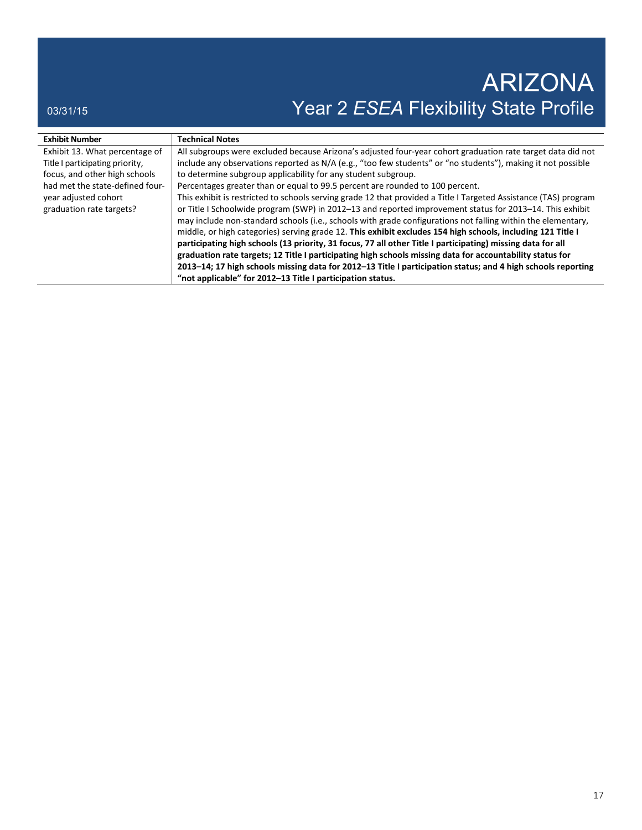| <b>Exhibit Number</b>           | <b>Technical Notes</b>                                                                                           |
|---------------------------------|------------------------------------------------------------------------------------------------------------------|
| Exhibit 13. What percentage of  | All subgroups were excluded because Arizona's adjusted four-year cohort graduation rate target data did not      |
| Title I participating priority, | include any observations reported as N/A (e.g., "too few students" or "no students"), making it not possible     |
| focus, and other high schools   | to determine subgroup applicability for any student subgroup.                                                    |
| had met the state-defined four- | Percentages greater than or equal to 99.5 percent are rounded to 100 percent.                                    |
| year adjusted cohort            | This exhibit is restricted to schools serving grade 12 that provided a Title I Targeted Assistance (TAS) program |
| graduation rate targets?        | or Title I Schoolwide program (SWP) in 2012-13 and reported improvement status for 2013-14. This exhibit         |
|                                 | may include non-standard schools (i.e., schools with grade configurations not falling within the elementary,     |
|                                 | middle, or high categories) serving grade 12. This exhibit excludes 154 high schools, including 121 Title I      |
|                                 | participating high schools (13 priority, 31 focus, 77 all other Title I participating) missing data for all      |
|                                 | graduation rate targets; 12 Title I participating high schools missing data for accountability status for        |
|                                 | 2013–14; 17 high schools missing data for 2012–13 Title I participation status; and 4 high schools reporting     |
|                                 | "not applicable" for 2012-13 Title I participation status.                                                       |